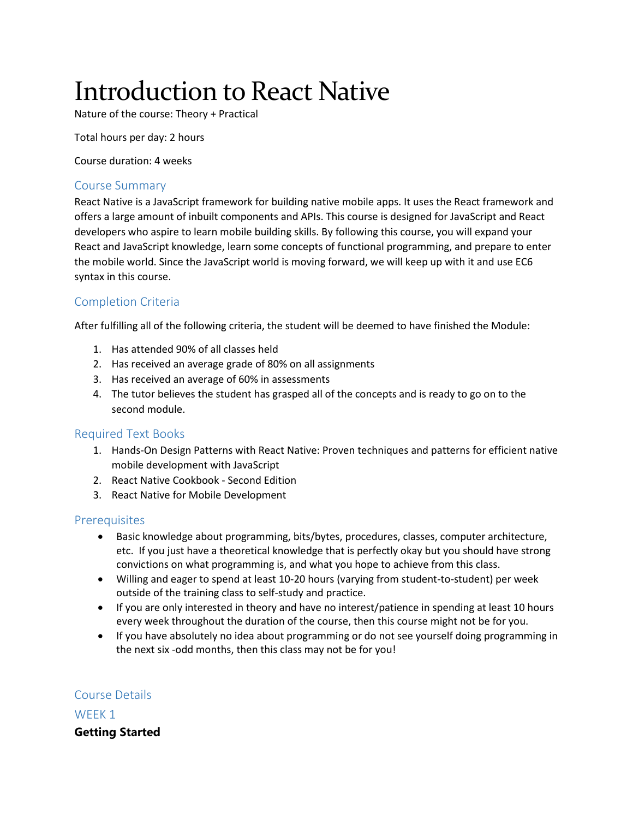# Introduction to React Native

Nature of the course: Theory + Practical

Total hours per day: 2 hours

Course duration: 4 weeks

#### Course Summary

React Native is a JavaScript framework for building native mobile apps. It uses the React framework and offers a large amount of inbuilt components and APIs. This course is designed for JavaScript and React developers who aspire to learn mobile building skills. By following this course, you will expand your React and JavaScript knowledge, learn some concepts of functional programming, and prepare to enter the mobile world. Since the JavaScript world is moving forward, we will keep up with it and use EC6 syntax in this course.

## Completion Criteria

After fulfilling all of the following criteria, the student will be deemed to have finished the Module:

- 1. Has attended 90% of all classes held
- 2. Has received an average grade of 80% on all assignments
- 3. Has received an average of 60% in assessments
- 4. The tutor believes the student has grasped all of the concepts and is ready to go on to the second module.

#### Required Text Books

- 1. Hands-On Design Patterns with React Native: Proven techniques and patterns for efficient native mobile development with JavaScript
- 2. React Native Cookbook Second Edition
- 3. React Native for Mobile Development

#### **Prerequisites**

- Basic knowledge about programming, bits/bytes, procedures, classes, computer architecture, etc. If you just have a theoretical knowledge that is perfectly okay but you should have strong convictions on what programming is, and what you hope to achieve from this class.
- Willing and eager to spend at least 10-20 hours (varying from student-to-student) per week outside of the training class to self-study and practice.
- If you are only interested in theory and have no interest/patience in spending at least 10 hours every week throughout the duration of the course, then this course might not be for you.
- If you have absolutely no idea about programming or do not see yourself doing programming in the next six -odd months, then this class may not be for you!

## Course Details

WFFK<sub>1</sub>

**Getting Started**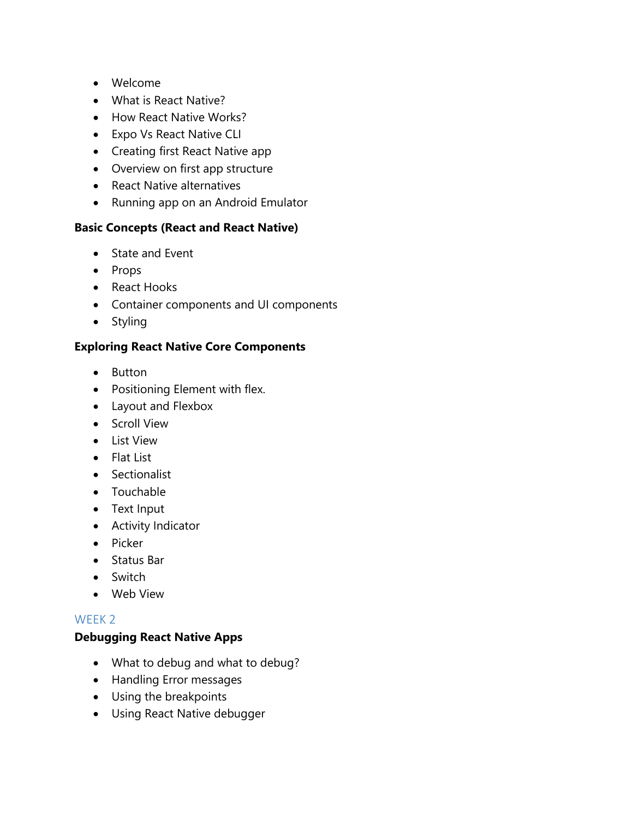- Welcome
- What is React Native?
- How React Native Works?
- Expo Vs React Native CLI
- Creating first React Native app
- Overview on first app structure
- React Native alternatives
- Running app on an Android Emulator

### **Basic Concepts (React and React Native)**

- State and Event
- Props
- React Hooks
- Container components and UI components
- Styling

### **Exploring React Native Core Components**

- Button
- Positioning Element with flex.
- Layout and Flexbox
- Scroll View
- **.** List View
- Flat List
- Sectionalist
- Touchable
- Text Input
- Activity Indicator
- $\bullet$  Picker
- Status Bar
- Switch
- Web View

#### WEEK 2

#### **Debugging React Native Apps**

- What to debug and what to debug?
- Handling Error messages
- Using the breakpoints
- Using React Native debugger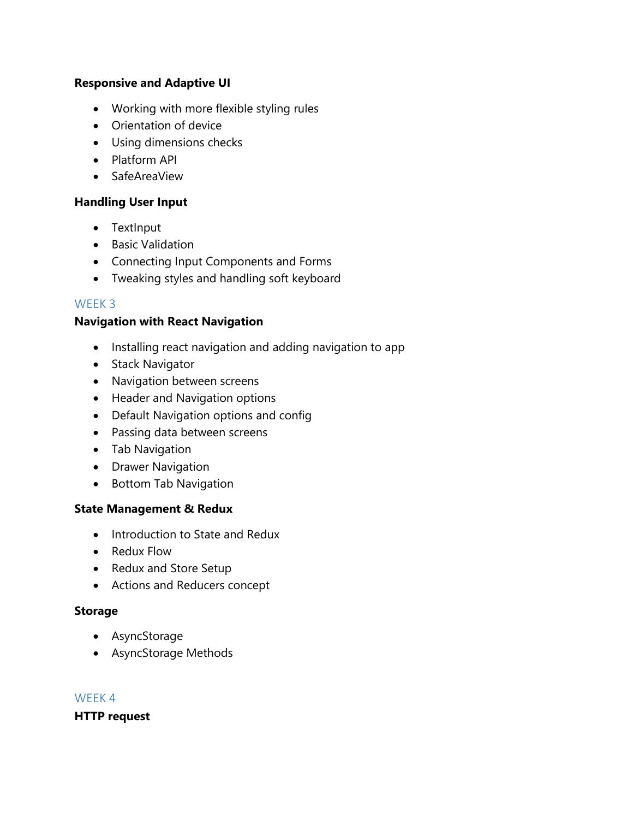#### **Responsive and Adaptive UI**

- Working with more flexible styling rules
- Orientation of device
- Using dimensions checks
- Platform API
- SafeAreaView

## **Handling User Input**

- TextInput
- Basic Validation
- Connecting Input Components and Forms
- Tweaking styles and handling soft keyboard

## WEEK 3

### **Navigation with React Navigation**

- Installing react navigation and adding navigation to app
- Stack Navigator
- Navigation between screens
- Header and Navigation options
- Default Navigation options and config
- Passing data between screens
- Tab Navigation
- Drawer Navigation
- Bottom Tab Navigation

## **State Management & Redux**

- Introduction to State and Redux
- Redux Flow
- Redux and Store Setup
- Actions and Reducers concept

#### **Storage**

- AsyncStorage
- AsyncStorage Methods

#### WEEK 4

**HTTP request**